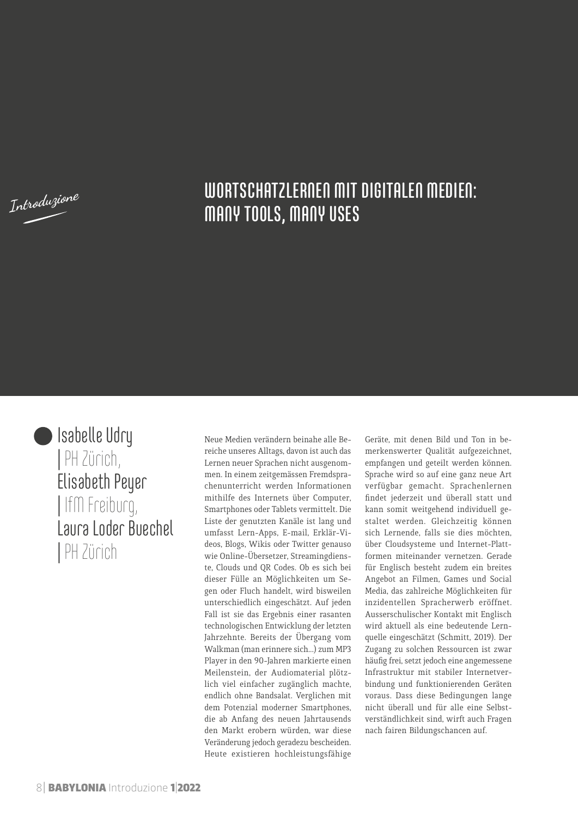**Introduzione**

## WORTSCHATZLERNEN MIT DIGITALEN MEDIEN: MANY TOOLS, MANY USES



Isabelle Udry | PH Zürich, Elisabeth Peyer | IfM Freiburg, Laura Loder Buechel | PH Zürich

Neue Medien verändern beinahe alle Bereiche unseres Alltags, davon ist auch das Lernen neuer Sprachen nicht ausgenommen. In einem zeitgemässen Fremdsprachenunterricht werden Informationen mithilfe des Internets über Computer, Smartphones oder Tablets vermittelt. Die Liste der genutzten Kanäle ist lang und umfasst Lern-Apps, E-mail, Erklär-Videos, Blogs, Wikis oder Twitter genauso wie Online-Übersetzer, Streamingdienste, Clouds und QR Codes. Ob es sich bei dieser Fülle an Möglichkeiten um Segen oder Fluch handelt, wird bisweilen unterschiedlich eingeschätzt. Auf jeden Fall ist sie das Ergebnis einer rasanten technologischen Entwicklung der letzten Jahrzehnte. Bereits der Übergang vom Walkman (man erinnere sich...) zum MP3 Player in den 90-Jahren markierte einen Meilenstein, der Audiomaterial plötzlich viel einfacher zugänglich machte, endlich ohne Bandsalat. Verglichen mit dem Potenzial moderner Smartphones, die ab Anfang des neuen Jahrtausends den Markt erobern würden, war diese Veränderung jedoch geradezu bescheiden. Heute existieren hochleistungsfähige

Geräte, mit denen Bild und Ton in bemerkenswerter Qualität aufgezeichnet, empfangen und geteilt werden können. Sprache wird so auf eine ganz neue Art verfügbar gemacht. Sprachenlernen findet jederzeit und überall statt und kann somit weitgehend individuell gestaltet werden. Gleichzeitig können sich Lernende, falls sie dies möchten, über Cloudsysteme und Internet-Plattformen miteinander vernetzen. Gerade für Englisch besteht zudem ein breites Angebot an Filmen, Games und Social Media, das zahlreiche Möglichkeiten für inzidentellen Spracherwerb eröffnet. Ausserschulischer Kontakt mit Englisch wird aktuell als eine bedeutende Lernquelle eingeschätzt (Schmitt, 2019). Der Zugang zu solchen Ressourcen ist zwar häufig frei, setzt jedoch eine angemessene Infrastruktur mit stabiler Internetverbindung und funktionierenden Geräten voraus. Dass diese Bedingungen lange nicht überall und für alle eine Selbstverständlichkeit sind, wirft auch Fragen nach fairen Bildungschancen auf.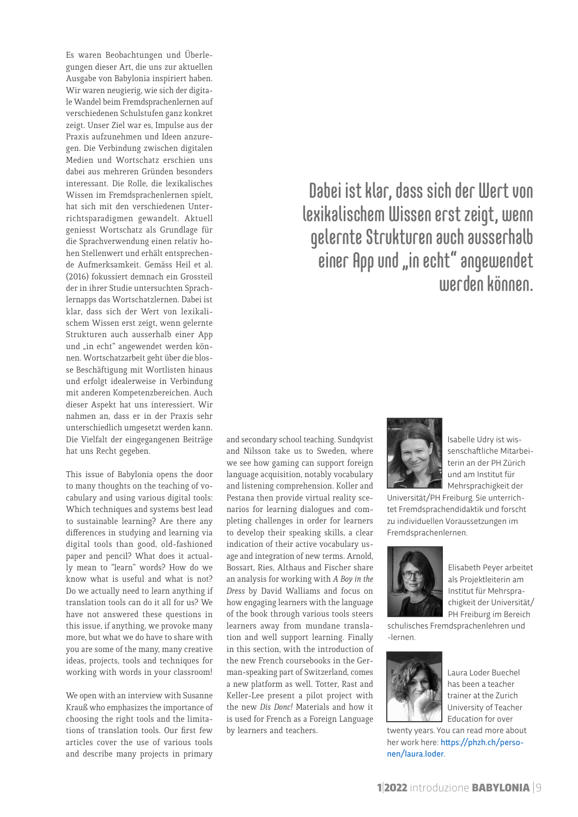Es waren Beobachtungen und Überlegungen dieser Art, die uns zur aktuellen Ausgabe von Babylonia inspiriert haben. Wir waren neugierig, wie sich der digitale Wandel beim Fremdsprachenlernen auf verschiedenen Schulstufen ganz konkret zeigt. Unser Ziel war es, Impulse aus der Praxis aufzunehmen und Ideen anzuregen. Die Verbindung zwischen digitalen Medien und Wortschatz erschien uns dabei aus mehreren Gründen besonders interessant. Die Rolle, die lexikalisches Wissen im Fremdsprachenlernen spielt, hat sich mit den verschiedenen Unterrichtsparadigmen gewandelt. Aktuell geniesst Wortschatz als Grundlage für die Sprachverwendung einen relativ hohen Stellenwert und erhält entsprechende Aufmerksamkeit. Gemäss Heil et al. (2016) fokussiert demnach ein Grossteil der in ihrer Studie untersuchten Sprachlernapps das Wortschatzlernen. Dabei ist klar, dass sich der Wert von lexikalischem Wissen erst zeigt, wenn gelernte Strukturen auch ausserhalb einer App und "in echt" angewendet werden können. Wortschatzarbeit geht über die blosse Beschäftigung mit Wortlisten hinaus und erfolgt idealerweise in Verbindung mit anderen Kompetenzbereichen. Auch dieser Aspekt hat uns interessiert. Wir nahmen an, dass er in der Praxis sehr unterschiedlich umgesetzt werden kann. Die Vielfalt der eingegangenen Beiträge hat uns Recht gegeben.

This issue of Babylonia opens the door to many thoughts on the teaching of vocabulary and using various digital tools: Which techniques and systems best lead to sustainable learning? Are there any differences in studying and learning via digital tools than good, old-fashioned paper and pencil? What does it actually mean to "learn" words? How do we know what is useful and what is not? Do we actually need to learn anything if translation tools can do it all for us? We have not answered these questions in this issue, if anything, we provoke many more, but what we do have to share with you are some of the many, many creative ideas, projects, tools and techniques for working with words in your classroom!

We open with an interview with Susanne Krauß who emphasizes the importance of choosing the right tools and the limitations of translation tools. Our first few articles cover the use of various tools and describe many projects in primary

and secondary school teaching. Sundqvist and Nilsson take us to Sweden, where we see how gaming can support foreign language acquisition, notably vocabulary and listening comprehension. Koller and Pestana then provide virtual reality scenarios for learning dialogues and completing challenges in order for learners to develop their speaking skills, a clear indication of their active vocabulary usage and integration of new terms. Arnold, Bossart, Ries, Althaus and Fischer share an analysis for working with *A Boy in the Dress* by David Walliams and focus on how engaging learners with the language of the book through various tools steers learners away from mundane translation and well support learning. Finally in this section, with the introduction of the new French coursebooks in the German-speaking part of Switzerland, comes a new platform as well. Totter, Rast and Keller-Lee present a pilot project with the new *Dis Donc!* Materials and how it is used for French as a Foreign Language by learners and teachers.

# Dabei ist klar, dass sich der Wert von lexikalischem Wissen erst zeigt, wenn gelernte Strukturen auch ausserhalb einer App und "in echt" angewendet werden können.



Isabelle Udry ist wissenschaftliche Mitarbeiterin an der PH Zürich und am Institut für Mehrsprachigkeit der

Universität/PH Freiburg. Sie unterrichtet Fremdsprachendidaktik und forscht zu individuellen Voraussetzungen im Fremdsprachenlernen.



Elisabeth Peyer arbeitet als Projektleiterin am Institut für Mehrsprachigkeit der Universität/ PH Freiburg im Bereich

schulisches Fremdsprachenlehren und -lernen.



Laura Loder Buechel has been a teacher trainer at the Zurich University of Teacher Education for over

twenty years. You can read more about her work here: [https://phzh.ch/perso](https://phzh.ch/personen/laura.loder)[nen/laura.loder](https://phzh.ch/personen/laura.loder).